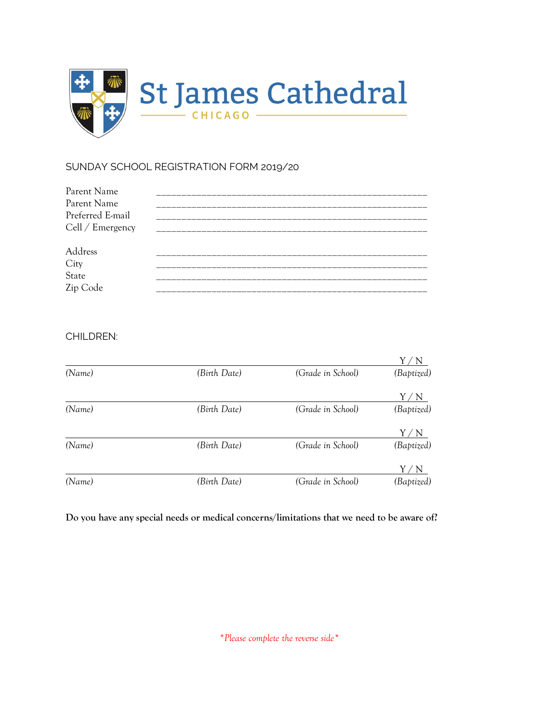

# SUNDAY SCHOOL REGISTRATION FORM 2019/20

| Parent Name      |            |
|------------------|------------|
| Parent Name      | ---------- |
| Preferred E-mail |            |
| Cell / Emergency |            |
|                  |            |
| Address          |            |
|                  |            |
| City<br>State    |            |
| Zip Code         |            |
|                  |            |

## CHILDREN:

| (Name) | (Birth Date) | (Grade in School) | (Baptized)          |
|--------|--------------|-------------------|---------------------|
|        |              |                   | Y.<br>$^{\prime}$ N |
| (Name) | (Birth Date) | (Grade in School) | (Baptized)          |
|        |              |                   | 'N                  |
| (Name) | (Birth Date) | (Grade in School) | (Baptized)          |
|        |              |                   | N                   |
| (Name) | (Birth Date) | (Grade in School) | (Baptized)          |

**Do you have any special needs or medical concerns/limitations that we need to be aware of?**

*\*Please complete the reverse side\**